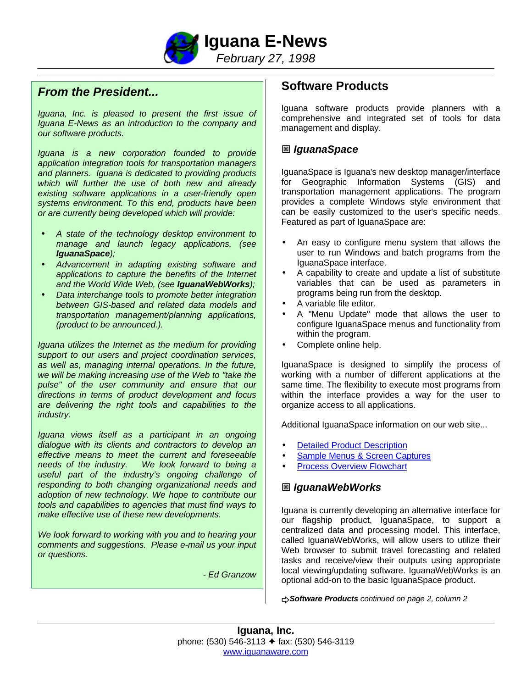

## *From the President...*

*Iguana, Inc. is pleased to present the first issue of Iguana E-News as an introduction to the company and our software products.*

*Iguana is a new corporation founded to provide application integration tools for transportation managers and planners. Iguana is dedicated to providing products which will further the use of both new and already existing software applications in a user-friendly open systems environment. To this end, products have been or are currently being developed which will provide:*

- *A state of the technology desktop environment to manage and launch legacy applications, (see IguanaSpace);*
- *Advancement in adapting existing software and applications to capture the benefits of the Internet and the World Wide Web, (see IguanaWebWorks);*
- *Data interchange tools to promote better integration between GIS-based and related data models and transportation management/planning applications, (product to be announced.).*

*Iguana utilizes the Internet as the medium for providing support to our users and project coordination services, as well as, managing internal operations. In the future, we will be making increasing use of the Web to "take the pulse" of the user community and ensure that our directions in terms of product development and focus are delivering the right tools and capabilities to the industry.*

*Iguana views itself as a participant in an ongoing dialogue with its clients and contractors to develop an effective means to meet the current and foreseeable needs of the industry. We look forward to being a useful part of the industry's ongoing challenge of responding to both changing organizational needs and adoption of new technology. We hope to contribute our tools and capabilities to agencies that must find ways to make effective use of these new developments.*

*We look forward to working with you and to hearing your comments and suggestions. Please e-mail us your input or questions.*

*- Ed Granzow*

# **Software Products**

Iguana software products provide planners with a comprehensive and integrated set of tools for data management and display.

### ™ *IguanaSpace*

IguanaSpace is Iguana's new desktop manager/interface for Geographic Information Systems (GIS) and transportation management applications. The program provides a complete Windows style environment that can be easily customized to the user's specific needs. Featured as part of IguanaSpace are:

- An easy to configure menu system that allows the user to run Windows and batch programs from the IguanaSpace interface.
- A capability to create and update a list of substitute variables that can be used as parameters in programs being run from the desktop.
- A variable file editor.
- A "Menu Update" mode that allows the user to configure IguanaSpace menus and functionality from within the program.
- Complete online help.

IguanaSpace is designed to simplify the process of working with a number of different applications at the same time. The flexibility to execute most programs from within the interface provides a way for the user to organize access to all applications.

Additional IguanaSpace information on our web site...

- **[Detailed Product Description](http://www.iguanaware.com/web_htm/i_space.htm)**
- [Sample Menus & Screen Captures](http://www.iguanaware.com/web_htm/i_spc_men.htm)
- **[Process Overview Flowchart](http://www.iguanaware.com/web_htm/i_spc_ovr.htm)**

### ™ *IguanaWebWorks*

Iguana is currently developing an alternative interface for our flagship product, IguanaSpace, to support a centralized data and processing model. This interface, called IguanaWebWorks, will allow users to utilize their Web browser to submit travel forecasting and related tasks and receive/view their outputs using appropriate local viewing/updating software. IguanaWebWorks is an optional add-on to the basic IguanaSpace product.

u*Software Products continued on page 2, column 2*